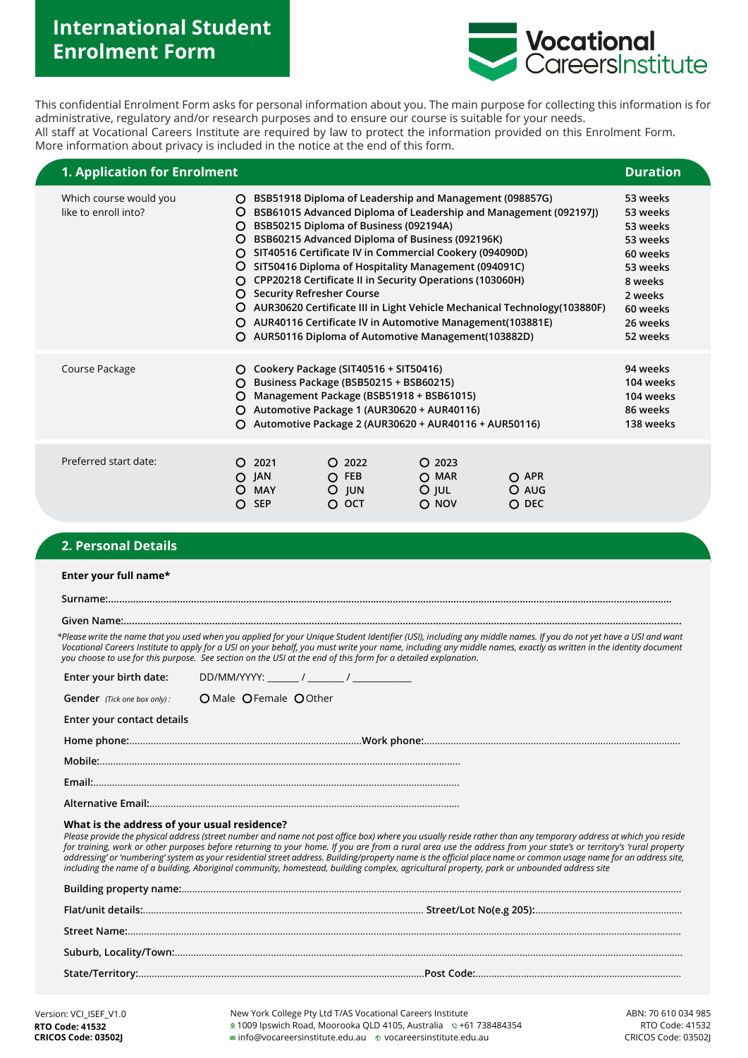# **International Student Enrolment Form**



This confidential Enrolment Form asks for personal information about you. The main purpose for collecting this information is for administrative, regulatory and/or research purposes and to ensure our course is suitable for your needs. All staff at Vocational Careers Institute are required by law to protect the information provided on this Enrolment Form. More information about privacy is included in the notice at the end of this form.

| 1. Application for Enrolment                   |                                                     |                                             |                                                                                                                                                                                                                                                                                                                                                                                                                                                         |                                         |                                                                                                                                               | <b>Duration</b>                                                                                                                |  |
|------------------------------------------------|-----------------------------------------------------|---------------------------------------------|---------------------------------------------------------------------------------------------------------------------------------------------------------------------------------------------------------------------------------------------------------------------------------------------------------------------------------------------------------------------------------------------------------------------------------------------------------|-----------------------------------------|-----------------------------------------------------------------------------------------------------------------------------------------------|--------------------------------------------------------------------------------------------------------------------------------|--|
| Which course would you<br>like to enroll into? | O<br>O<br>O<br>O<br>O<br>O<br>O<br>O<br>O<br>O<br>O | <b>Security Refresher Course</b>            | BSB51918 Diploma of Leadership and Management (098857G)<br>BSB50215 Diploma of Business (092194A)<br>BSB60215 Advanced Diploma of Business (092196K)<br>SIT40516 Certificate IV in Commercial Cookery (094090D)<br>SIT50416 Diploma of Hospitality Management (094091C)<br>CPP20218 Certificate II in Security Operations (103060H)<br>AUR40116 Certificate IV in Automotive Management (103881E)<br>AUR50116 Diploma of Automotive Management(103882D) |                                         | BSB61015 Advanced Diploma of Leadership and Management (092197))<br>AUR30620 Certificate III in Light Vehicle Mechanical Technology (103880F) | 53 weeks<br>53 weeks<br>53 weeks<br>53 weeks<br>60 weeks<br>53 weeks<br>8 weeks<br>2 weeks<br>60 weeks<br>26 weeks<br>52 weeks |  |
| Course Package                                 | O<br>O<br>O<br>O<br>O                               |                                             | Cookery Package (SIT40516 + SIT50416)<br>Business Package (BSB50215 + BSB60215)<br>Management Package (BSB51918 + BSB61015)<br>Automotive Package 1 (AUR30620 + AUR40116)<br>Automotive Package 2 (AUR30620 + AUR40116 + AUR50116)                                                                                                                                                                                                                      |                                         |                                                                                                                                               | 94 weeks<br>104 weeks<br>104 weeks<br>86 weeks<br>138 weeks                                                                    |  |
| Preferred start date:                          | O<br>O<br>O                                         | 2021<br>$O$ JAN<br><b>MAY</b><br><b>SEP</b> | $O$ 2022<br>$O$ FEB<br>$O$ JUN<br>$O$ OCT                                                                                                                                                                                                                                                                                                                                                                                                               | $O$ 2023<br>$O$ MAR<br>$O$ JUL<br>O NOV | $O$ APR<br>O AUG<br>O DEC                                                                                                                     |                                                                                                                                |  |

# **2. Personal Details**

|                                              | *Please write the name that you used when you applied for your Unique Student Identifier (USI), including any middle names. If you do not yet have a USI and want<br>Vocational Careers Institute to apply for a USI on your behalf, you must write your name, including any middle names, exactly as written in the identity document<br>you choose to use for this purpose. See section on the USI at the end of this form for a detailed explanation.                                                                                                                                                                                                |
|----------------------------------------------|---------------------------------------------------------------------------------------------------------------------------------------------------------------------------------------------------------------------------------------------------------------------------------------------------------------------------------------------------------------------------------------------------------------------------------------------------------------------------------------------------------------------------------------------------------------------------------------------------------------------------------------------------------|
|                                              |                                                                                                                                                                                                                                                                                                                                                                                                                                                                                                                                                                                                                                                         |
| <b>Gender</b> (Tick one box only):           | O Male O Female O Other                                                                                                                                                                                                                                                                                                                                                                                                                                                                                                                                                                                                                                 |
| Enter your contact details                   |                                                                                                                                                                                                                                                                                                                                                                                                                                                                                                                                                                                                                                                         |
|                                              |                                                                                                                                                                                                                                                                                                                                                                                                                                                                                                                                                                                                                                                         |
|                                              |                                                                                                                                                                                                                                                                                                                                                                                                                                                                                                                                                                                                                                                         |
|                                              |                                                                                                                                                                                                                                                                                                                                                                                                                                                                                                                                                                                                                                                         |
|                                              |                                                                                                                                                                                                                                                                                                                                                                                                                                                                                                                                                                                                                                                         |
| What is the address of your usual residence? | Please provide the physical address (street number and name not post office box) where you usually reside rather than any temporary address at which you reside<br>for training, work or other purposes before returning to your home. If you are from a rural area use the address from your state's or territory's 'rural property<br>addressing' or 'numbering' system as your residential street address. Building/property name is the official place name or common usage name for an address site,<br>including the name of a building, Aboriginal community, homestead, building complex, agricultural property, park or unbounded address site |
|                                              |                                                                                                                                                                                                                                                                                                                                                                                                                                                                                                                                                                                                                                                         |
|                                              |                                                                                                                                                                                                                                                                                                                                                                                                                                                                                                                                                                                                                                                         |
|                                              |                                                                                                                                                                                                                                                                                                                                                                                                                                                                                                                                                                                                                                                         |
|                                              |                                                                                                                                                                                                                                                                                                                                                                                                                                                                                                                                                                                                                                                         |
|                                              |                                                                                                                                                                                                                                                                                                                                                                                                                                                                                                                                                                                                                                                         |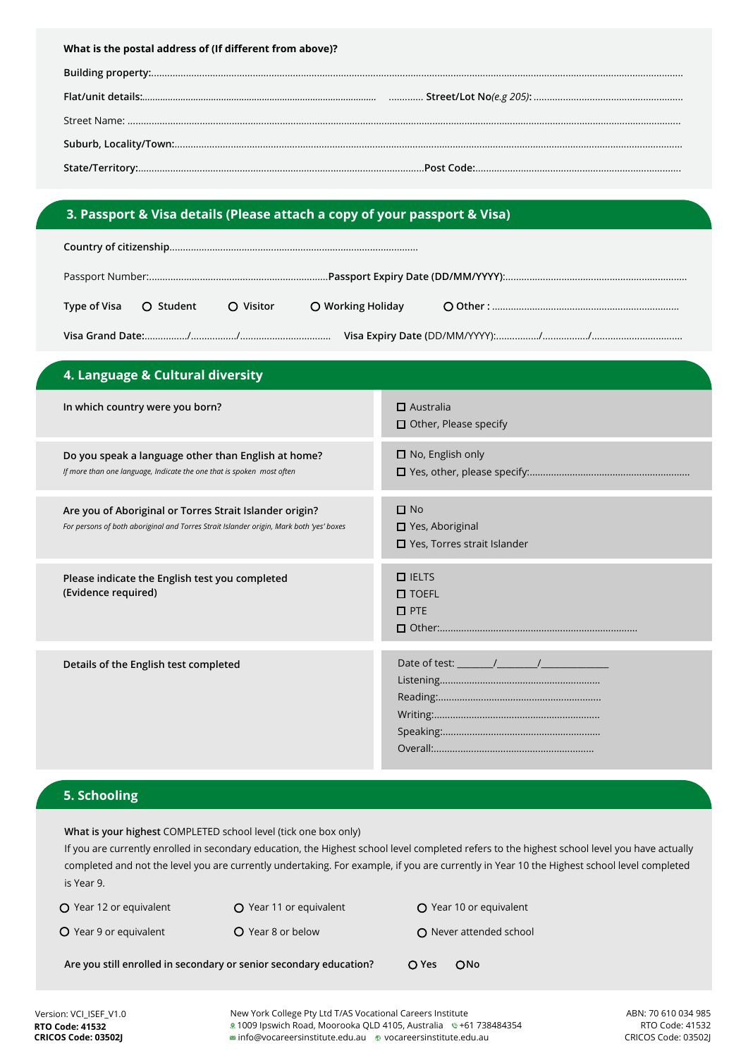# **3. Passport & Visa details (Please attach a copy of your passport & Visa)**

| Type of Visa   〇 Student |  | O Visitor |  |  |  |  |
|--------------------------|--|-----------|--|--|--|--|
|                          |  |           |  |  |  |  |

| 4. Language & Cultural diversity                                                                                                                   |                                                                      |
|----------------------------------------------------------------------------------------------------------------------------------------------------|----------------------------------------------------------------------|
| In which country were you born?                                                                                                                    | $\Box$ Australia<br>$\Box$ Other, Please specify                     |
| Do you speak a language other than English at home?<br>If more than one language, Indicate the one that is spoken most often                       | $\square$ No, English only                                           |
| Are you of Aboriginal or Torres Strait Islander origin?<br>For persons of both aboriginal and Torres Strait Islander origin, Mark both 'yes' boxes | $\Box$ No<br>□ Yes, Aboriginal<br>$\Box$ Yes, Torres strait Islander |
| Please indicate the English test you completed<br>(Evidence required)                                                                              | $\Box$ IELTS<br>$\square$ TOEFL<br>$\square$ PTE                     |
| Details of the English test completed                                                                                                              |                                                                      |

### **5. Schooling**

**What is your highest** COMPLETED school level (tick one box only)

If you are currently enrolled in secondary education, the Highest school level completed refers to the highest school level you have actually completed and not the level you are currently undertaking. For example, if you are currently in Year 10 the Highest school level completed is Year 9.

Q Year 12 or equivalent **Q** Year 11 or equivalent **Q** Year 10 or equivalent O Year 9 or equivalent O Year 8 or below O Never attended school

Are you still enrolled in secondary or senior secondary education? <br>
O Yes 
O No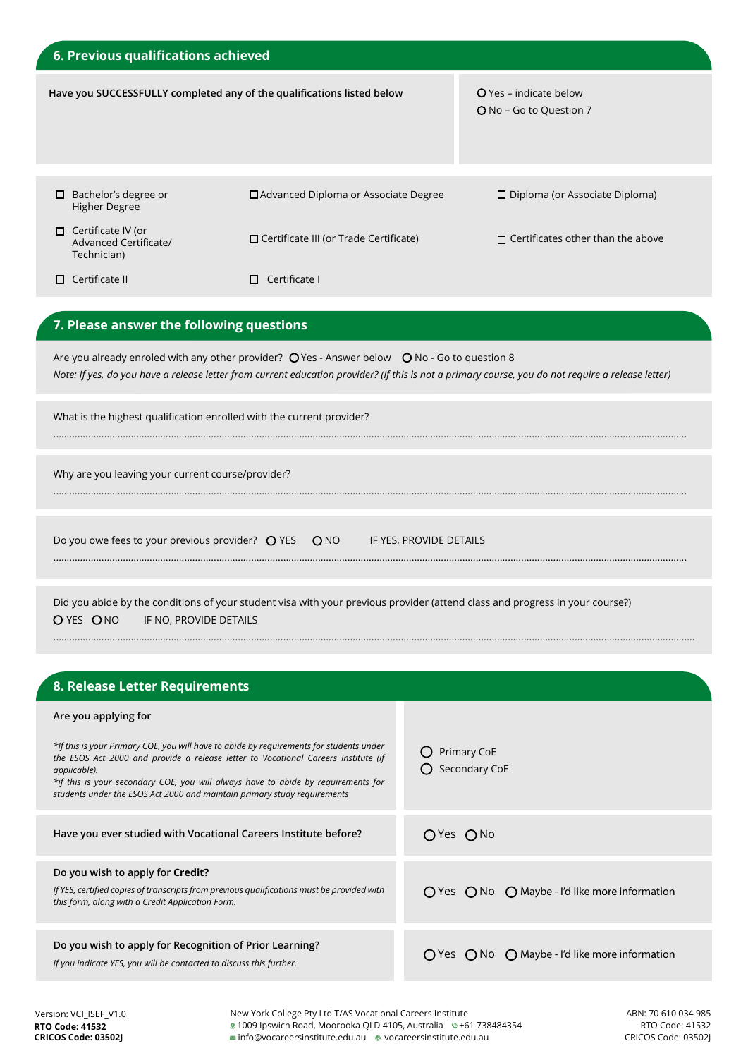| 6. Previous qualifications achieved                                                                                                                |                                                                                                                              |                                                   |  |  |  |
|----------------------------------------------------------------------------------------------------------------------------------------------------|------------------------------------------------------------------------------------------------------------------------------|---------------------------------------------------|--|--|--|
|                                                                                                                                                    | Have you SUCCESSFULLY completed any of the qualifications listed below                                                       | O Yes - indicate below<br>O No - Go to Question 7 |  |  |  |
| Bachelor's degree or<br>□<br><b>Higher Degree</b>                                                                                                  | □ Advanced Diploma or Associate Degree                                                                                       | $\Box$ Diploma (or Associate Diploma)             |  |  |  |
| $\Box$ Certificate IV (or<br>Advanced Certificate/<br>Technician)                                                                                  | □ Certificate III (or Trade Certificate)                                                                                     | $\Box$ Certificates other than the above          |  |  |  |
| $\Box$ Certificate II                                                                                                                              | $\Box$ Certificate I                                                                                                         |                                                   |  |  |  |
| 7. Please answer the following questions<br>Are you already enroled with any other provider? $Q$ Yes - Answer below $Q$ No - Go to question 8      |                                                                                                                              |                                                   |  |  |  |
| Note: If yes, do you have a release letter from current education provider? (if this is not a primary course, you do not require a release letter) |                                                                                                                              |                                                   |  |  |  |
| What is the highest qualification enrolled with the current provider?                                                                              |                                                                                                                              |                                                   |  |  |  |
| Why are you leaving your current course/provider?                                                                                                  |                                                                                                                              |                                                   |  |  |  |
| Do you owe fees to your previous provider? O YES ONO<br>IF YES, PROVIDE DETAILS                                                                    |                                                                                                                              |                                                   |  |  |  |
|                                                                                                                                                    | Did you abide by the conditions of your student visa with your previous provider (attend class and progress in your course?) |                                                   |  |  |  |

| O YES ONO | IF NO, PROVIDE DETAILS |
|-----------|------------------------|
|           |                        |

| 8. Release Letter Requirements                                                                                                                                                                                                                                                                                                                                 |                                                                           |
|----------------------------------------------------------------------------------------------------------------------------------------------------------------------------------------------------------------------------------------------------------------------------------------------------------------------------------------------------------------|---------------------------------------------------------------------------|
| Are you applying for                                                                                                                                                                                                                                                                                                                                           |                                                                           |
| *If this is your Primary COE, you will have to abide by requirements for students under<br>the ESOS Act 2000 and provide a release letter to Vocational Careers Institute (if<br>applicable).<br>*if this is your secondary COE, you will always have to abide by requirements for<br>students under the ESOS Act 2000 and maintain primary study requirements | Primary CoE<br>Secondary CoE                                              |
| Have you ever studied with Vocational Careers Institute before?                                                                                                                                                                                                                                                                                                | OYes ONo                                                                  |
| Do you wish to apply for Credit?<br>If YES, certified copies of transcripts from previous qualifications must be provided with<br>this form, along with a Credit Application Form.                                                                                                                                                                             | $\bigcirc$ Yes $\bigcirc$ No $\bigcirc$ Maybe - I'd like more information |
| Do you wish to apply for Recognition of Prior Learning?<br>If you indicate YES, you will be contacted to discuss this further.                                                                                                                                                                                                                                 | $\bigcap$ Yes $\bigcap$ No $\bigcap$ Maybe - I'd like more information    |

................................................................................................................................................................................................................................................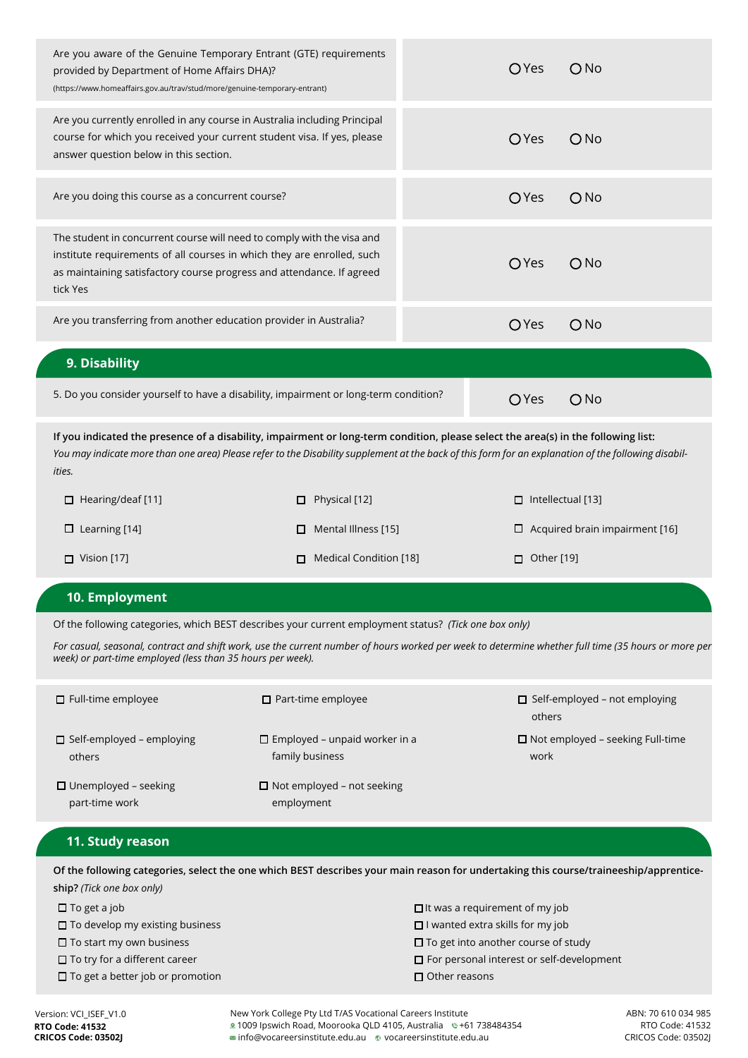| Are you aware of the Genuine Temporary Entrant (GTE) requirements<br>provided by Department of Home Affairs DHA)?<br>(https://www.homeaffairs.gov.au/trav/stud/more/genuine-temporary-entrant)                                                                                                       |                             |              | O Yes                    | ONO                                   |  |
|------------------------------------------------------------------------------------------------------------------------------------------------------------------------------------------------------------------------------------------------------------------------------------------------------|-----------------------------|--------------|--------------------------|---------------------------------------|--|
| Are you currently enrolled in any course in Australia including Principal<br>course for which you received your current student visa. If yes, please<br>answer question below in this section.                                                                                                       |                             |              | <b>O</b> Yes             | ONO                                   |  |
| Are you doing this course as a concurrent course?                                                                                                                                                                                                                                                    |                             | <b>O</b> Yes | ONO                      |                                       |  |
| The student in concurrent course will need to comply with the visa and<br>institute requirements of all courses in which they are enrolled, such<br>as maintaining satisfactory course progress and attendance. If agreed<br>tick Yes                                                                |                             |              | <b>O</b> Yes             | ONO                                   |  |
| Are you transferring from another education provider in Australia?                                                                                                                                                                                                                                   |                             |              | <b>O</b> Yes             | ONO                                   |  |
| 9. Disability                                                                                                                                                                                                                                                                                        |                             |              |                          |                                       |  |
| 5. Do you consider yourself to have a disability, impairment or long-term condition?                                                                                                                                                                                                                 |                             | <b>O</b> Yes | ONO                      |                                       |  |
| If you indicated the presence of a disability, impairment or long-term condition, please select the area(s) in the following list:<br>You may indicate more than one area) Please refer to the Disability supplement at the back of this form for an explanation of the following disabil-<br>ities. |                             |              |                          |                                       |  |
| $\Box$ Hearing/deaf [11]                                                                                                                                                                                                                                                                             | Physical [12]<br>□          |              | $\Box$ Intellectual [13] |                                       |  |
| $\Box$ Learning [14]                                                                                                                                                                                                                                                                                 | Mental Illness [15]<br>□    |              |                          | $\Box$ Acquired brain impairment [16] |  |
| $\Box$ Vision [17]                                                                                                                                                                                                                                                                                   | Medical Condition [18]<br>п |              | $\Box$ Other [19]        |                                       |  |
|                                                                                                                                                                                                                                                                                                      |                             |              |                          |                                       |  |

#### **10. Employment**

Of the following categories, which BEST describes your current employment status? *(Tick one box only)*

*For casual, seasonal, contract and shift work, use the current number of hours worked per week to determine whether full time (35 hours or more per week) or part-time employed (less than 35 hours per week).*

| $\Box$ Full-time employee                     | $\Box$ Part-time employee                               | □ Self-employed - not employing<br>others       |
|-----------------------------------------------|---------------------------------------------------------|-------------------------------------------------|
| $\Box$ Self-employed – employing<br>others    | $\Box$ Employed – unpaid worker in a<br>family business | $\Box$ Not employed – seeking Full-time<br>work |
| $\Box$ Unemployed – seeking<br>part-time work | $\Box$ Not employed – not seeking<br>employment         |                                                 |

### **11. Study reason**

**Of the following categories, select the one which BEST describes your main reason for undertaking this course/traineeship/apprenticeship?** *(Tick one box only)*

| $\Box$ It was a requirement of my job            |
|--------------------------------------------------|
| $\Box$ I wanted extra skills for my job          |
| $\Box$ To get into another course of study       |
| $\Box$ For personal interest or self-development |
| $\Box$ Other reasons                             |
|                                                  |

Version: VCI\_ISEF\_V1.0 ABN: 70 610 034 985 New York College Pty Ltd T/AS Vocational Careers Institute 1009 Ipswich Road, Moorooka QLD 4105, Australia +61 738484354 info@vocareersinstitute.edu.au vocareersinstitute.edu.au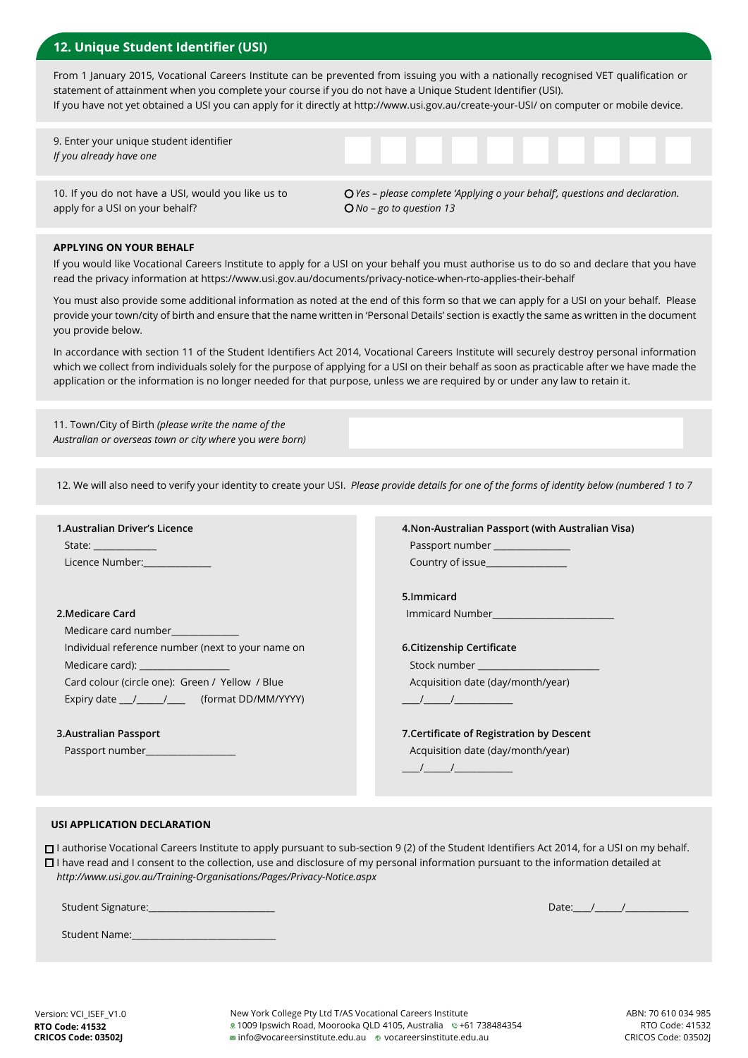### **12. Unique Student Identifier (USI)**

From 1 January 2015, Vocational Careers Institute can be prevented from issuing you with a nationally recognised VET qualification or statement of attainment when you complete your course if you do not have a Unique Student Identifier (USI). If you have not yet obtained a USI you can apply for it directly at http://www.usi.gov.au/create-your-USI/ on computer or mobile device.

9. Enter your unique student identifier *If you already have one*

10. If you do not have a USI, would you like us to apply for a USI on your behalf?

*Yes – please complete 'Applying o your behalf', questions and declaration. No – go to question 13*

#### **APPLYING ON YOUR BEHALF**

If you would like Vocational Careers Institute to apply for a USI on your behalf you must authorise us to do so and declare that you have read the privacy information at https://www.usi.gov.au/documents/privacy-notice-when-rto-applies-their-behalf

You must also provide some additional information as noted at the end of this form so that we can apply for a USI on your behalf. Please provide your town/city of birth and ensure that the name written in 'Personal Details' section is exactly the same as written in the document you provide below.

In accordance with section 11 of the Student Identifiers Act 2014, Vocational Careers Institute will securely destroy personal information which we collect from individuals solely for the purpose of applying for a USI on their behalf as soon as practicable after we have made the application or the information is no longer needed for that purpose, unless we are required by or under any law to retain it.

11. Town/City of Birth *(please write the name of the Australian or overseas town or city where* you *were born)*

12. We will also need to verify your identity to create your USI. *Please provide details for one of the forms of identity below (numbered 1 to 7*

| 1. Australian Driver's Licence                                                                                                                                                                                                 | 4. Non-Australian Passport (with Australian Visa)                                                                                                                                                                                                                                                                   |
|--------------------------------------------------------------------------------------------------------------------------------------------------------------------------------------------------------------------------------|---------------------------------------------------------------------------------------------------------------------------------------------------------------------------------------------------------------------------------------------------------------------------------------------------------------------|
| State: _____________                                                                                                                                                                                                           | Passport number ______________                                                                                                                                                                                                                                                                                      |
| Licence Number: National Contract of the Contract of the Contract of the Contract of the Contract of the Contr                                                                                                                 | <b>Country of issue Country of issue</b>                                                                                                                                                                                                                                                                            |
|                                                                                                                                                                                                                                | 5.Immicard                                                                                                                                                                                                                                                                                                          |
| 2. Medicare Card                                                                                                                                                                                                               |                                                                                                                                                                                                                                                                                                                     |
| Medicare card number <b>Medicare</b> card                                                                                                                                                                                      |                                                                                                                                                                                                                                                                                                                     |
| Individual reference number (next to your name on                                                                                                                                                                              | 6.Citizenship Certificate                                                                                                                                                                                                                                                                                           |
| Medicare card): __________________                                                                                                                                                                                             | Stock number and the control of the control of the control of the control of the control of the control of the                                                                                                                                                                                                      |
| Card colour (circle one): Green / Yellow / Blue                                                                                                                                                                                | Acquisition date (day/month/year)                                                                                                                                                                                                                                                                                   |
| Expiry date _______________________ (format DD/MM/YYYY)                                                                                                                                                                        | $\frac{1}{2}$ $\frac{1}{2}$ $\frac{1}{2}$ $\frac{1}{2}$ $\frac{1}{2}$ $\frac{1}{2}$ $\frac{1}{2}$ $\frac{1}{2}$ $\frac{1}{2}$ $\frac{1}{2}$ $\frac{1}{2}$ $\frac{1}{2}$ $\frac{1}{2}$ $\frac{1}{2}$ $\frac{1}{2}$ $\frac{1}{2}$ $\frac{1}{2}$ $\frac{1}{2}$ $\frac{1}{2}$ $\frac{1}{2}$ $\frac{1}{2}$ $\frac{1}{2}$ |
| 3. Australian Passport                                                                                                                                                                                                         | 7. Certificate of Registration by Descent                                                                                                                                                                                                                                                                           |
| Passport number and the control of the control of the control of the control of the control of the control of the control of the control of the control of the control of the control of the control of the control of the con | Acquisition date (day/month/year)                                                                                                                                                                                                                                                                                   |
|                                                                                                                                                                                                                                |                                                                                                                                                                                                                                                                                                                     |

#### **USI APPLICATION DECLARATION**

I authorise Vocational Careers Institute to apply pursuant to sub-section 9 (2) of the Student Identifiers Act 2014, for a USI on my behalf.  $\Box$  I have read and I consent to the collection, use and disclosure of my personal information pursuant to the information detailed at *http://www.usi.gov.au/Training-Organisations/Pages/Privacy-Notice.aspx*

Student Signature:

Student Name:

Date:  $/$  /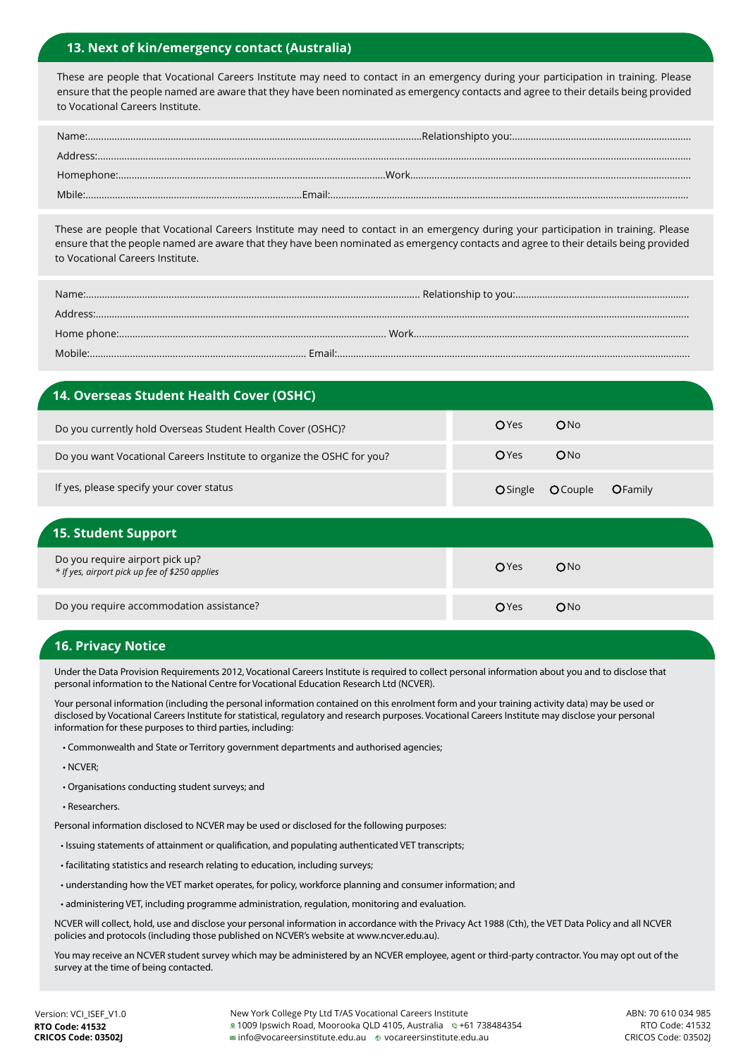### **13. Next of kin/emergency contact (Australia)**

These are people that Vocational Careers Institute may need to contact in an emergency during your participation in training. Please ensure that the people named are aware that they have been nominated as emergency contacts and agree to their details being provided to Vocational Careers Institute.

These are people that Vocational Careers Institute may need to contact in an emergency during your participation in training. Please ensure that the people named are aware that they have been nominated as emergency contacts and agree to their details being provided to Vocational Careers Institute.

| Mobile: . |  |
|-----------|--|

# **14. Overseas Student Health Cover (OSHC)** Do you currently hold Overseas Student Health Cover (OSHC)? Do you want Vocational Careers Institute to organize the OSHC for you? If yes, please specify your cover status OYes ONo O Single O Couple O Family OYes ONo

| <b>15. Student Support</b>                                                        |      |                 |
|-----------------------------------------------------------------------------------|------|-----------------|
| Do you require airport pick up?<br>* If yes, airport pick up fee of \$250 applies | OYes | ON <sub>0</sub> |
| Do you require accommodation assistance?                                          | OYes | ON <sub>0</sub> |

### **16. Privacy Notice**

Under the Data Provision Requirements 2012, Vocational Careers Institute is required to collect personal information about you and to disclose that personal information to the National Centre for Vocational Education Research Ltd (NCVER).

Your personal information (including the personal information contained on this enrolment form and your training activity data) may be used or disclosed by Vocational Careers Institute for statistical, regulatory and research purposes. Vocational Careers Institute may disclose your personal information for these purposes to third parties, including:

• Commonwealth and State or Territory government departments and authorised agencies;

• NCVER;

• Organisations conducting student surveys; and

• Researchers.

Personal information disclosed to NCVER may be used or disclosed for the following purposes:

- Issuing statements of attainment or qualification, and populating authenticated VET transcripts;
- facilitating statistics and research relating to education, including surveys;
- understanding how the VET market operates, for policy, workforce planning and consumer information; and
- administering VET, including programme administration, regulation, monitoring and evaluation.

NCVER will collect, hold, use and disclose your personal information in accordance with the Privacy Act 1988 (Cth), the VET Data Policy and all NCVER policies and protocols (including those published on NCVER's website at www.ncver.edu.au).

You may receive an NCVER student survey which may be administered by an NCVER employee, agent or third-party contractor. You may opt out of the survey at the time of being contacted.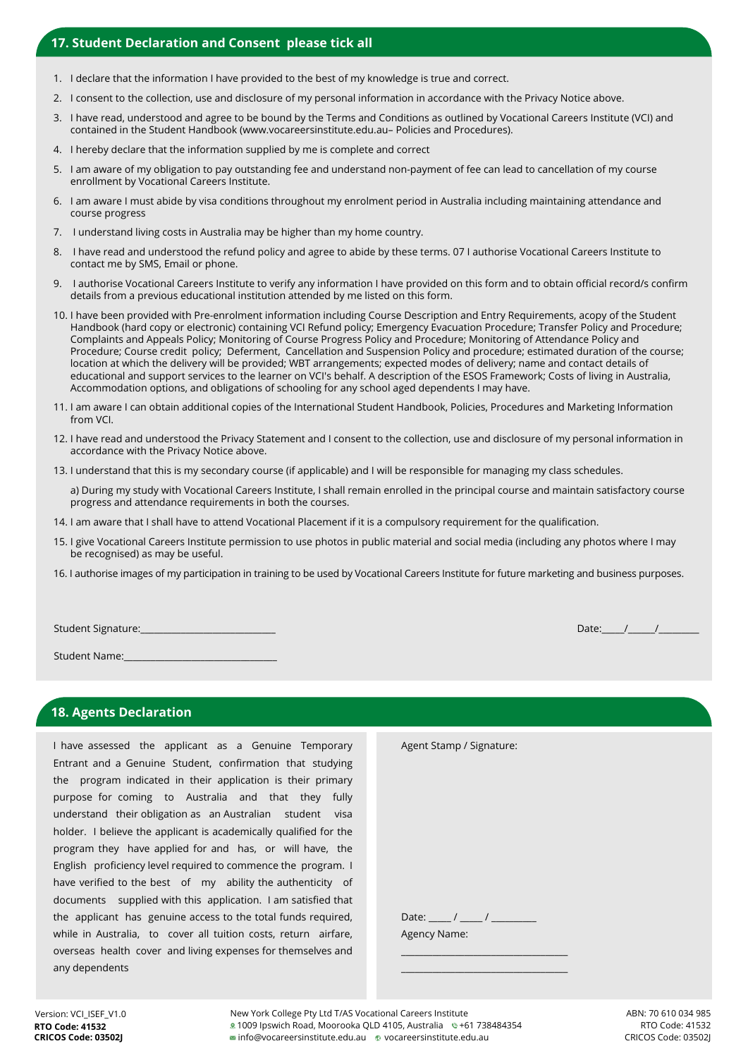### **17. Student Declaration and Consent please tick all**

- 1. I declare that the information I have provided to the best of my knowledge is true and correct.
- 2. I consent to the collection, use and disclosure of my personal information in accordance with the Privacy Notice above.
- 3. I have read, understood and agree to be bound by the Terms and Conditions as outlined by Vocational Careers Institute (VCI) and contained in the Student Handbook (www.vocareersinstitute.edu.au– Policies and Procedures).
- 4. I hereby declare that the information supplied by me is complete and correct
- 5. I am aware of my obligation to pay outstanding fee and understand non-payment of fee can lead to cancellation of my course enrollment by Vocational Careers Institute.
- 6. I am aware I must abide by visa conditions throughout my enrolment period in Australia including maintaining attendance and course progress
- 7. I understand living costs in Australia may be higher than my home country.
- 8. I have read and understood the refund policy and agree to abide by these terms. 07 I authorise Vocational Careers Institute to contact me by SMS, Email or phone.
- 9. I authorise Vocational Careers Institute to verify any information I have provided on this form and to obtain official record/s confirm details from a previous educational institution attended by me listed on this form.
- 10. I have been provided with Pre-enrolment information including Course Description and Entry Requirements, acopy of the Student Handbook (hard copy or electronic) containing VCI Refund policy; Emergency Evacuation Procedure; Transfer Policy and Procedure; Complaints and Appeals Policy; Monitoring of Course Progress Policy and Procedure; Monitoring of Attendance Policy and Procedure; Course credit policy; Deferment, Cancellation and Suspension Policy and procedure; estimated duration of the course; location at which the delivery will be provided; WBT arrangements; expected modes of delivery; name and contact details of educational and support services to the learner on VCI's behalf. A description of the ESOS Framework; Costs of living in Australia, Accommodation options, and obligations of schooling for any school aged dependents I may have.
- 11. I am aware I can obtain additional copies of the International Student Handbook, Policies, Procedures and Marketing Information from VCI.
- 12. I have read and understood the Privacy Statement and I consent to the collection, use and disclosure of my personal information in accordance with the Privacy Notice above.
- 13. I understand that this is my secondary course (if applicable) and I will be responsible for managing my class schedules.

 a) During my study with Vocational Careers Institute, I shall remain enrolled in the principal course and maintain satisfactory course progress and attendance requirements in both the courses.

- 14. I am aware that I shall have to attend Vocational Placement if it is a compulsory requirement for the qualification.
- 15. I give Vocational Careers Institute permission to use photos in public material and social media (including any photos where I may be recognised) as may be useful.
- 16. I authorise images of my participation in training to be used by Vocational Careers Institute for future marketing and business purposes.

Student Signature:

Student Name:

#### **18. Agents Declaration**

I have assessed the applicant as a Genuine Temporary Entrant and a Genuine Student, confirmation that studying the program indicated in their application is their primary purpose for coming to Australia and that they fully understand their obligation as an Australian student visa holder. I believe the applicant is academically qualified for the program they have applied for and has, or will have, the English proficiency level required to commence the program. I have verified to the best of my ability the authenticity of documents supplied with this application. I am satisfied that the applicant has genuine access to the total funds required, while in Australia, to cover all tuition costs, return airfare, overseas health cover and living expenses for themselves and any dependents

| Agent Stamp / Signature: |  |
|--------------------------|--|
|                          |  |
|                          |  |
|                          |  |
|                          |  |
|                          |  |
|                          |  |
|                          |  |
| Agency Name:             |  |
|                          |  |
|                          |  |

Date:  $/$  /